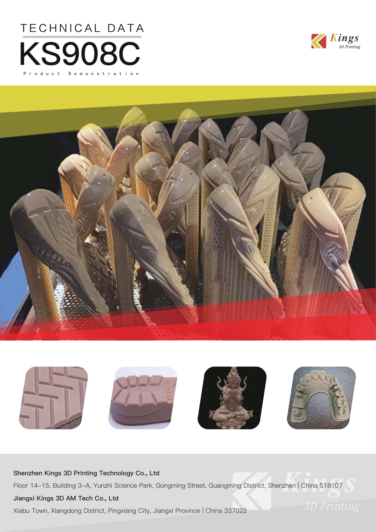







#### **Shenzhen Kings 3D Printing Technology Co., Ltd**

Floor 14-15, Building 3-A, Yunzhi Science Park, Gongming Street, Guangming District, Shenzhen | China 518107

#### **Jiangxi Kings 3D AM Tech Co., Ltd**

Xiabu Town, Xiangdong District, Pingxiang City, Jiangxi Province | China 337022